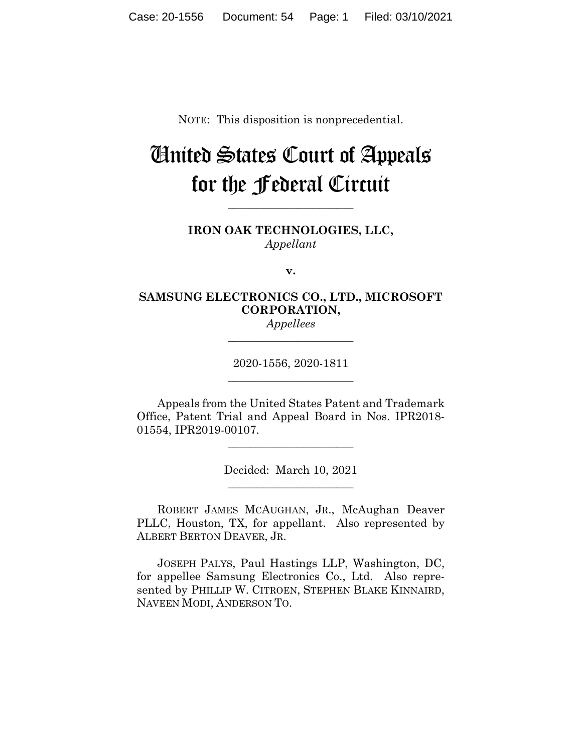NOTE: This disposition is nonprecedential.

## United States Court of Appeals for the Federal Circuit

**\_\_\_\_\_\_\_\_\_\_\_\_\_\_\_\_\_\_\_\_\_\_**

**IRON OAK TECHNOLOGIES, LLC,** *Appellant*

**v.**

## **SAMSUNG ELECTRONICS CO., LTD., MICROSOFT CORPORATION,**

*Appellees* **\_\_\_\_\_\_\_\_\_\_\_\_\_\_\_\_\_\_\_\_\_\_**

2020-1556, 2020-1811 **\_\_\_\_\_\_\_\_\_\_\_\_\_\_\_\_\_\_\_\_\_\_**

Appeals from the United States Patent and Trademark Office, Patent Trial and Appeal Board in Nos. IPR2018- 01554, IPR2019-00107.

> Decided: March 10, 2021 \_\_\_\_\_\_\_\_\_\_\_\_\_\_\_\_\_\_\_\_\_\_

\_\_\_\_\_\_\_\_\_\_\_\_\_\_\_\_\_\_\_\_\_\_

ROBERT JAMES MCAUGHAN, JR., McAughan Deaver PLLC, Houston, TX, for appellant. Also represented by ALBERT BERTON DEAVER, JR.

JOSEPH PALYS, Paul Hastings LLP, Washington, DC, for appellee Samsung Electronics Co., Ltd. Also represented by PHILLIP W. CITROEN, STEPHEN BLAKE KINNAIRD, NAVEEN MODI, ANDERSON TO.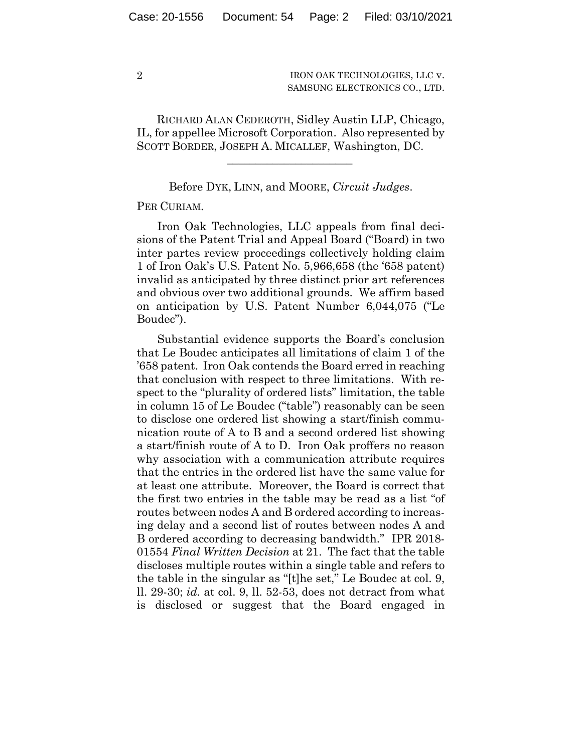IRON OAK TECHNOLOGIES, LLC v. SAMSUNG ELECTRONICS CO., LTD.

 RICHARD ALAN CEDEROTH, Sidley Austin LLP, Chicago, IL, for appellee Microsoft Corporation. Also represented by SCOTT BORDER, JOSEPH A. MICALLEF, Washington, DC.

Before DYK, LINN, and MOORE, *Circuit Judges*.

 $\mathcal{L}_\text{max}$  and  $\mathcal{L}_\text{max}$  and  $\mathcal{L}_\text{max}$  and  $\mathcal{L}_\text{max}$ 

PER CURIAM.

Iron Oak Technologies, LLC appeals from final decisions of the Patent Trial and Appeal Board ("Board) in two inter partes review proceedings collectively holding claim 1 of Iron Oak's U.S. Patent No. 5,966,658 (the '658 patent) invalid as anticipated by three distinct prior art references and obvious over two additional grounds. We affirm based on anticipation by U.S. Patent Number 6,044,075 ("Le Boudec").

Substantial evidence supports the Board's conclusion that Le Boudec anticipates all limitations of claim 1 of the '658 patent. Iron Oak contends the Board erred in reaching that conclusion with respect to three limitations. With respect to the "plurality of ordered lists" limitation, the table in column 15 of Le Boudec ("table") reasonably can be seen to disclose one ordered list showing a start/finish communication route of A to B and a second ordered list showing a start/finish route of A to D. Iron Oak proffers no reason why association with a communication attribute requires that the entries in the ordered list have the same value for at least one attribute. Moreover, the Board is correct that the first two entries in the table may be read as a list "of routes between nodes A and B ordered according to increasing delay and a second list of routes between nodes A and B ordered according to decreasing bandwidth." IPR 2018- 01554 *Final Written Decision* at 21. The fact that the table discloses multiple routes within a single table and refers to the table in the singular as "[t]he set," Le Boudec at col. 9, ll. 29-30; *id.* at col. 9, ll. 52-53, does not detract from what is disclosed or suggest that the Board engaged in

2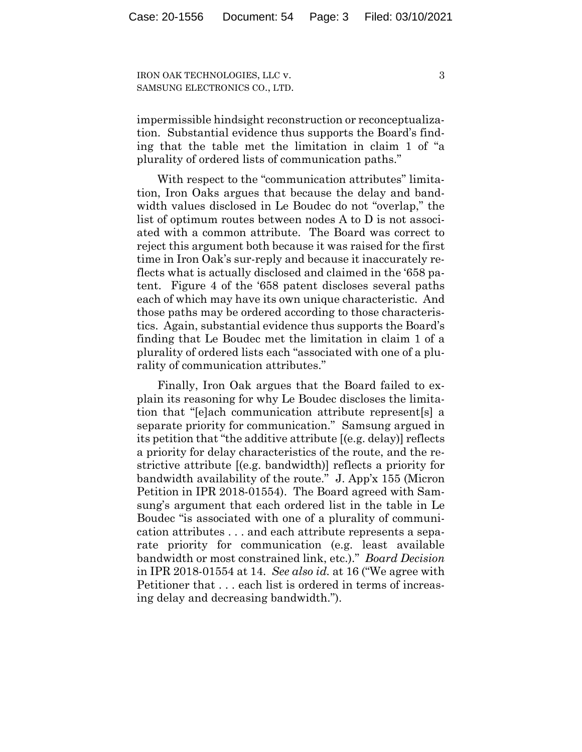IRON OAK TECHNOLOGIES, LLC v. SAMSUNG ELECTRONICS CO., LTD. 3

impermissible hindsight reconstruction or reconceptualization. Substantial evidence thus supports the Board's finding that the table met the limitation in claim 1 of "a plurality of ordered lists of communication paths."

With respect to the "communication attributes" limitation, Iron Oaks argues that because the delay and bandwidth values disclosed in Le Boudec do not "overlap," the list of optimum routes between nodes A to D is not associated with a common attribute. The Board was correct to reject this argument both because it was raised for the first time in Iron Oak's sur-reply and because it inaccurately reflects what is actually disclosed and claimed in the '658 patent. Figure 4 of the '658 patent discloses several paths each of which may have its own unique characteristic. And those paths may be ordered according to those characteristics. Again, substantial evidence thus supports the Board's finding that Le Boudec met the limitation in claim 1 of a plurality of ordered lists each "associated with one of a plurality of communication attributes."

Finally, Iron Oak argues that the Board failed to explain its reasoning for why Le Boudec discloses the limitation that "[e]ach communication attribute represent[s] a separate priority for communication." Samsung argued in its petition that "the additive attribute [(e.g. delay)] reflects a priority for delay characteristics of the route, and the restrictive attribute [(e.g. bandwidth)] reflects a priority for bandwidth availability of the route." J. App'x 155 (Micron Petition in IPR 2018-01554). The Board agreed with Samsung's argument that each ordered list in the table in Le Boudec "is associated with one of a plurality of communication attributes . . . and each attribute represents a separate priority for communication (e.g. least available bandwidth or most constrained link, etc.)." *Board Decision* in IPR 2018-01554 at 14. *See also id.* at 16 ("We agree with Petitioner that . . . each list is ordered in terms of increasing delay and decreasing bandwidth.").